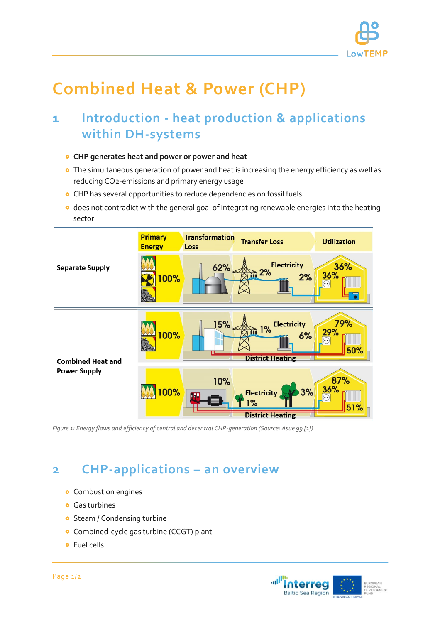

# **Combined Heat & Power (CHP)**

## **1 Introduction - heat production & applications within DH-systems**

- **CHP generates heat and power or power and heat**
- **•** The simultaneous generation of power and heat is increasing the energy efficiency as well as reducing CO2-emissions and primary energy usage
- CHP has several opportunities to reduce dependencies on fossil fuels
- o does not contradict with the general goal of integrating renewable energies into the heating sector



*Figure 1: Energy flows and efficiency of central and decentral CHP-generation (Source: Asue 99 [1])*

### **2 CHP-applications – an overview**

- **•** Combustion engines
- **Gas turbines**
- **o** Steam / Condensing turbine
- **•** Combined-cycle gas turbine (CCGT) plant
- **o** Fuel cells